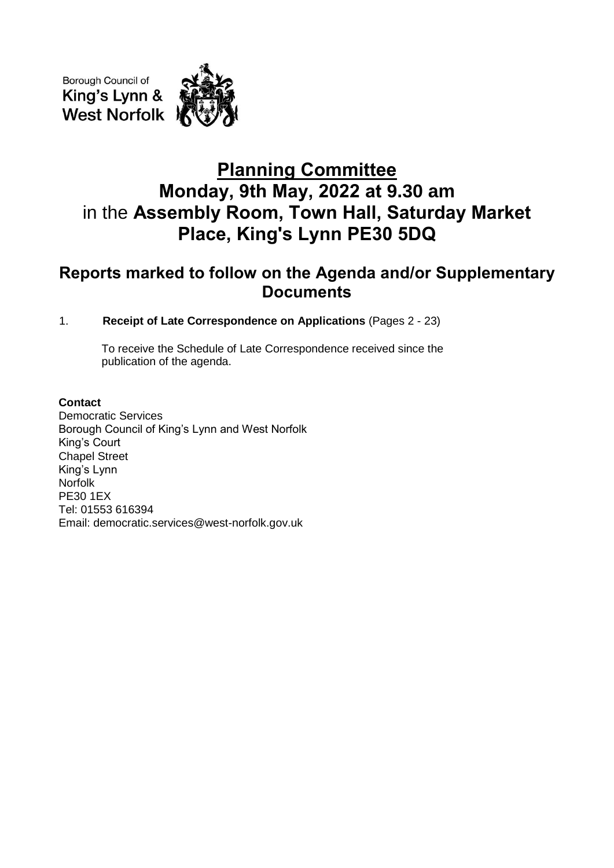Borough Council of King's Lynn & **West Norfolk** 



# **Planning Committee Monday, 9th May, 2022 at 9.30 am** in the **Assembly Room, Town Hall, Saturday Market Place, King's Lynn PE30 5DQ**

# **Reports marked to follow on the Agenda and/or Supplementary Documents**

# 1. **Receipt of Late Correspondence on Applications** (Pages 2 - 23)

To receive the Schedule of Late Correspondence received since the publication of the agenda.

# **Contact**

Democratic Services Borough Council of King's Lynn and West Norfolk King's Court Chapel Street King's Lynn Norfolk PE30 1EX Tel: 01553 616394 Email: democratic.services@west-norfolk.gov.uk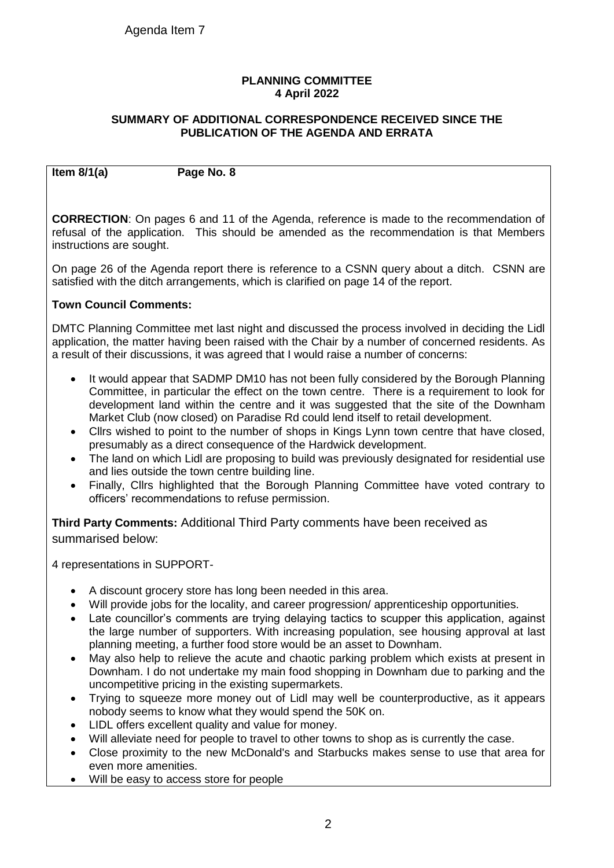#### **PLANNING COMMITTEE 4 April 2022**

#### **SUMMARY OF ADDITIONAL CORRESPONDENCE RECEIVED SINCE THE PUBLICATION OF THE AGENDA AND ERRATA**

**Item 8/1(a) Page No. 8**

**CORRECTION**: On pages 6 and 11 of the Agenda, reference is made to the recommendation of refusal of the application. This should be amended as the recommendation is that Members instructions are sought.

On page 26 of the Agenda report there is reference to a CSNN query about a ditch. CSNN are satisfied with the ditch arrangements, which is clarified on page 14 of the report.

# **Town Council Comments:**

DMTC Planning Committee met last night and discussed the process involved in deciding the Lidl application, the matter having been raised with the Chair by a number of concerned residents. As a result of their discussions, it was agreed that I would raise a number of concerns:

- It would appear that SADMP DM10 has not been fully considered by the Borough Planning Committee, in particular the effect on the town centre. There is a requirement to look for development land within the centre and it was suggested that the site of the Downham Market Club (now closed) on Paradise Rd could lend itself to retail development.
- Cllrs wished to point to the number of shops in Kings Lynn town centre that have closed, presumably as a direct consequence of the Hardwick development.
- The land on which Lidl are proposing to build was previously designated for residential use and lies outside the town centre building line.
- Finally, Cllrs highlighted that the Borough Planning Committee have voted contrary to officers' recommendations to refuse permission.

**Third Party Comments:** Additional Third Party comments have been received as summarised below:

4 representations in SUPPORT-

- A discount grocery store has long been needed in this area.
- Will provide jobs for the locality, and career progression/apprenticeship opportunities.
- Late councillor's comments are trying delaying tactics to scupper this application, against the large number of supporters. With increasing population, see housing approval at last planning meeting, a further food store would be an asset to Downham.
- May also help to relieve the acute and chaotic parking problem which exists at present in Downham. I do not undertake my main food shopping in Downham due to parking and the uncompetitive pricing in the existing supermarkets.
- Trying to squeeze more money out of Lidl may well be counterproductive, as it appears nobody seems to know what they would spend the 50K on.
- LIDL offers excellent quality and value for money.
- Will alleviate need for people to travel to other towns to shop as is currently the case.
- Close proximity to the new McDonald's and Starbucks makes sense to use that area for even more amenities.
- Will be easy to access store for people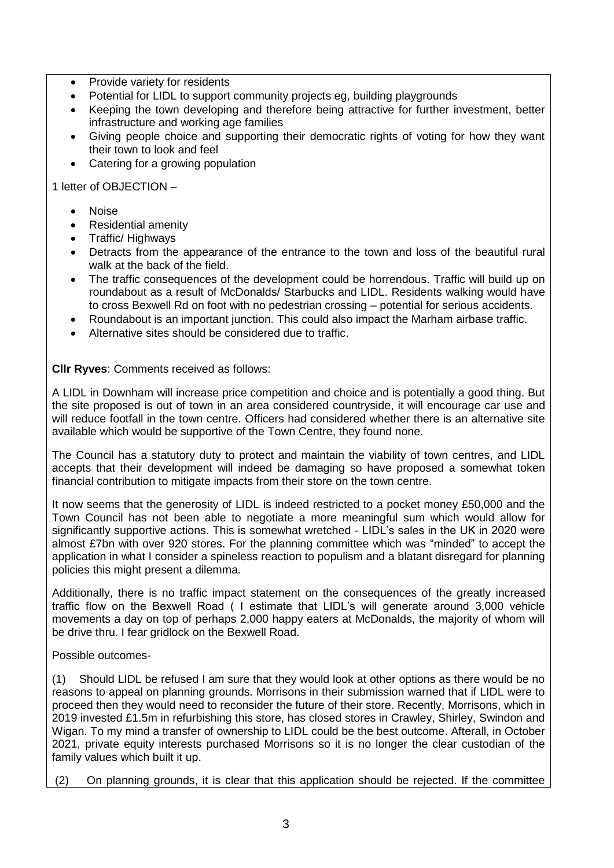- Provide variety for residents
- Potential for LIDL to support community projects eg, building playgrounds
- Keeping the town developing and therefore being attractive for further investment, better infrastructure and working age families
- Giving people choice and supporting their democratic rights of voting for how they want their town to look and feel
- Catering for a growing population

1 letter of OBJECTION –

- Noise
- Residential amenity
- Traffic/ Highways
- Detracts from the appearance of the entrance to the town and loss of the beautiful rural walk at the back of the field.
- The traffic consequences of the development could be horrendous. Traffic will build up on roundabout as a result of McDonalds/ Starbucks and LIDL. Residents walking would have to cross Bexwell Rd on foot with no pedestrian crossing – potential for serious accidents.
- Roundabout is an important junction. This could also impact the Marham airbase traffic.
- Alternative sites should be considered due to traffic.

**Cllr Ryves**: Comments received as follows:

A LIDL in Downham will increase price competition and choice and is potentially a good thing. But the site proposed is out of town in an area considered countryside, it will encourage car use and will reduce footfall in the town centre. Officers had considered whether there is an alternative site available which would be supportive of the Town Centre, they found none.

The Council has a statutory duty to protect and maintain the viability of town centres, and LIDL accepts that their development will indeed be damaging so have proposed a somewhat token financial contribution to mitigate impacts from their store on the town centre.

It now seems that the generosity of LIDL is indeed restricted to a pocket money £50,000 and the Town Council has not been able to negotiate a more meaningful sum which would allow for significantly supportive actions. This is somewhat wretched - LIDL's sales in the UK in 2020 were almost £7bn with over 920 stores. For the planning committee which was "minded" to accept the application in what I consider a spineless reaction to populism and a blatant disregard for planning policies this might present a dilemma.

Additionally, there is no traffic impact statement on the consequences of the greatly increased traffic flow on the Bexwell Road ( I estimate that LIDL's will generate around 3,000 vehicle movements a day on top of perhaps 2,000 happy eaters at McDonalds, the majority of whom will be drive thru. I fear gridlock on the Bexwell Road.

Possible outcomes-

(1) Should LIDL be refused I am sure that they would look at other options as there would be no reasons to appeal on planning grounds. Morrisons in their submission warned that if LIDL were to proceed then they would need to reconsider the future of their store. Recently, Morrisons, which in 2019 invested £1.5m in refurbishing this store, has closed stores in Crawley, Shirley, Swindon and Wigan. To my mind a transfer of ownership to LIDL could be the best outcome. Afterall, in October 2021, private equity interests purchased Morrisons so it is no longer the clear custodian of the family values which built it up.

(2) On planning grounds, it is clear that this application should be rejected. If the committee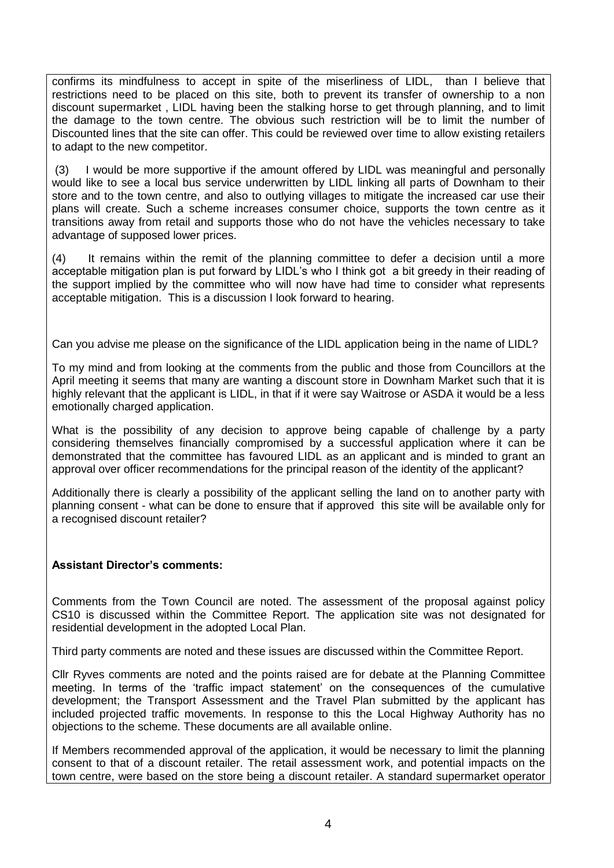confirms its mindfulness to accept in spite of the miserliness of LIDL, than I believe that restrictions need to be placed on this site, both to prevent its transfer of ownership to a non discount supermarket , LIDL having been the stalking horse to get through planning, and to limit the damage to the town centre. The obvious such restriction will be to limit the number of Discounted lines that the site can offer. This could be reviewed over time to allow existing retailers to adapt to the new competitor.

(3) I would be more supportive if the amount offered by LIDL was meaningful and personally would like to see a local bus service underwritten by LIDL linking all parts of Downham to their store and to the town centre, and also to outlying villages to mitigate the increased car use their plans will create. Such a scheme increases consumer choice, supports the town centre as it transitions away from retail and supports those who do not have the vehicles necessary to take advantage of supposed lower prices.

(4) It remains within the remit of the planning committee to defer a decision until a more acceptable mitigation plan is put forward by LIDL's who I think got a bit greedy in their reading of the support implied by the committee who will now have had time to consider what represents acceptable mitigation. This is a discussion I look forward to hearing.

Can you advise me please on the significance of the LIDL application being in the name of LIDL?

To my mind and from looking at the comments from the public and those from Councillors at the April meeting it seems that many are wanting a discount store in Downham Market such that it is highly relevant that the applicant is LIDL, in that if it were say Waitrose or ASDA it would be a less emotionally charged application.

What is the possibility of any decision to approve being capable of challenge by a party considering themselves financially compromised by a successful application where it can be demonstrated that the committee has favoured LIDL as an applicant and is minded to grant an approval over officer recommendations for the principal reason of the identity of the applicant?

Additionally there is clearly a possibility of the applicant selling the land on to another party with planning consent - what can be done to ensure that if approved this site will be available only for a recognised discount retailer?

#### **Assistant Director's comments:**

Comments from the Town Council are noted. The assessment of the proposal against policy CS10 is discussed within the Committee Report. The application site was not designated for residential development in the adopted Local Plan.

Third party comments are noted and these issues are discussed within the Committee Report.

Cllr Ryves comments are noted and the points raised are for debate at the Planning Committee meeting. In terms of the 'traffic impact statement' on the consequences of the cumulative development; the Transport Assessment and the Travel Plan submitted by the applicant has included projected traffic movements. In response to this the Local Highway Authority has no objections to the scheme. These documents are all available online.

If Members recommended approval of the application, it would be necessary to limit the planning consent to that of a discount retailer. The retail assessment work, and potential impacts on the town centre, were based on the store being a discount retailer. A standard supermarket operator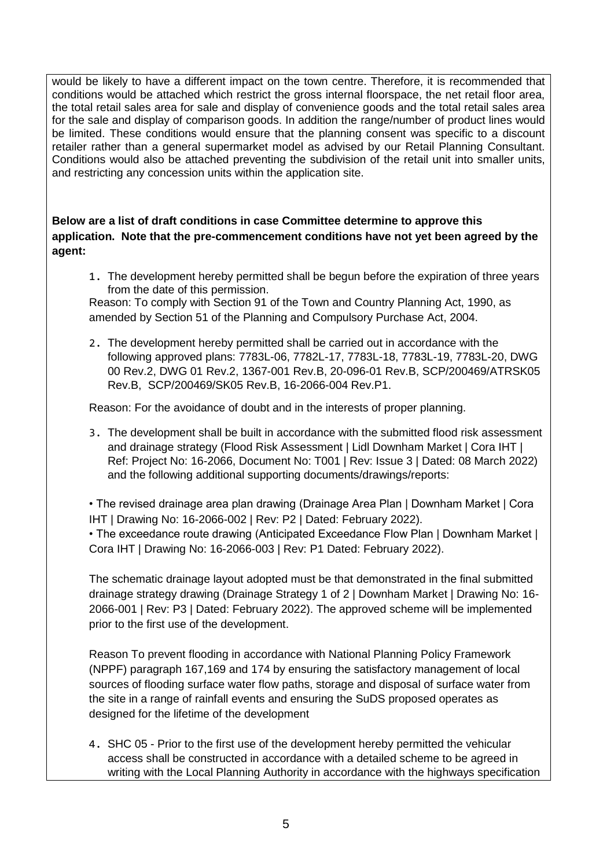would be likely to have a different impact on the town centre. Therefore, it is recommended that conditions would be attached which restrict the gross internal floorspace, the net retail floor area, the total retail sales area for sale and display of convenience goods and the total retail sales area for the sale and display of comparison goods. In addition the range/number of product lines would be limited. These conditions would ensure that the planning consent was specific to a discount retailer rather than a general supermarket model as advised by our Retail Planning Consultant. Conditions would also be attached preventing the subdivision of the retail unit into smaller units, and restricting any concession units within the application site.

**Below are a list of draft conditions in case Committee determine to approve this application. Note that the pre-commencement conditions have not yet been agreed by the agent:** 

1. The development hereby permitted shall be begun before the expiration of three years from the date of this permission.

Reason: To comply with Section 91 of the Town and Country Planning Act, 1990, as amended by Section 51 of the Planning and Compulsory Purchase Act, 2004.

2. The development hereby permitted shall be carried out in accordance with the following approved plans: 7783L-06, 7782L-17, 7783L-18, 7783L-19, 7783L-20, DWG 00 Rev.2, DWG 01 Rev.2, 1367-001 Rev.B, 20-096-01 Rev.B, SCP/200469/ATRSK05 Rev.B, SCP/200469/SK05 Rev.B, 16-2066-004 Rev.P1.

Reason: For the avoidance of doubt and in the interests of proper planning.

3. The development shall be built in accordance with the submitted flood risk assessment and drainage strategy (Flood Risk Assessment | Lidl Downham Market | Cora IHT | Ref: Project No: 16-2066, Document No: T001 | Rev: Issue 3 | Dated: 08 March 2022) and the following additional supporting documents/drawings/reports:

• The revised drainage area plan drawing (Drainage Area Plan | Downham Market | Cora IHT | Drawing No: 16-2066-002 | Rev: P2 | Dated: February 2022).

• The exceedance route drawing (Anticipated Exceedance Flow Plan | Downham Market | Cora IHT | Drawing No: 16-2066-003 | Rev: P1 Dated: February 2022).

The schematic drainage layout adopted must be that demonstrated in the final submitted drainage strategy drawing (Drainage Strategy 1 of 2 | Downham Market | Drawing No: 16- 2066-001 | Rev: P3 | Dated: February 2022). The approved scheme will be implemented prior to the first use of the development.

Reason To prevent flooding in accordance with National Planning Policy Framework (NPPF) paragraph 167,169 and 174 by ensuring the satisfactory management of local sources of flooding surface water flow paths, storage and disposal of surface water from the site in a range of rainfall events and ensuring the SuDS proposed operates as designed for the lifetime of the development

4. SHC 05 - Prior to the first use of the development hereby permitted the vehicular access shall be constructed in accordance with a detailed scheme to be agreed in writing with the Local Planning Authority in accordance with the highways specification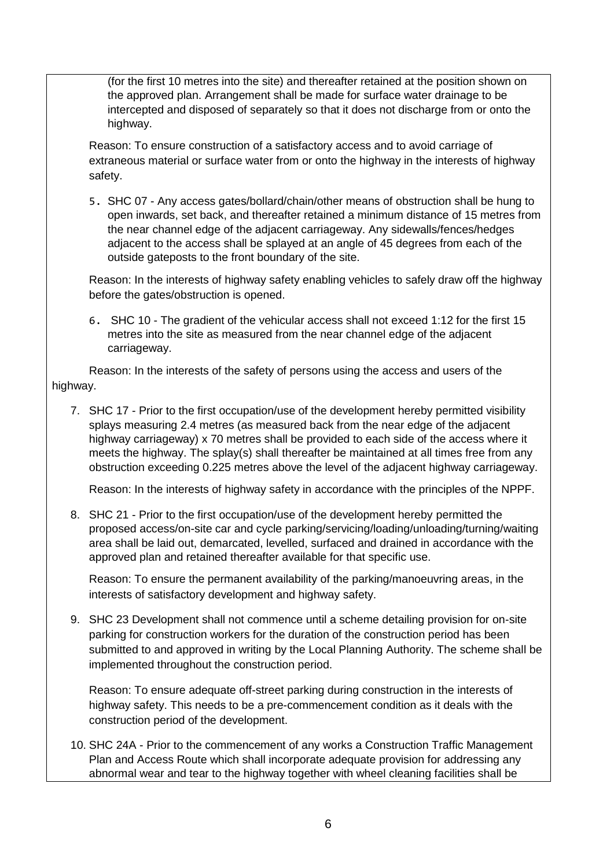(for the first 10 metres into the site) and thereafter retained at the position shown on the approved plan. Arrangement shall be made for surface water drainage to be intercepted and disposed of separately so that it does not discharge from or onto the highway.

Reason: To ensure construction of a satisfactory access and to avoid carriage of extraneous material or surface water from or onto the highway in the interests of highway safety.

5. SHC 07 - Any access gates/bollard/chain/other means of obstruction shall be hung to open inwards, set back, and thereafter retained a minimum distance of 15 metres from the near channel edge of the adjacent carriageway. Any sidewalls/fences/hedges adjacent to the access shall be splayed at an angle of 45 degrees from each of the outside gateposts to the front boundary of the site.

Reason: In the interests of highway safety enabling vehicles to safely draw off the highway before the gates/obstruction is opened.

6. SHC 10 - The gradient of the vehicular access shall not exceed 1:12 for the first 15 metres into the site as measured from the near channel edge of the adjacent carriageway.

Reason: In the interests of the safety of persons using the access and users of the highway.

7. SHC 17 - Prior to the first occupation/use of the development hereby permitted visibility splays measuring 2.4 metres (as measured back from the near edge of the adjacent highway carriageway) x 70 metres shall be provided to each side of the access where it meets the highway. The splay(s) shall thereafter be maintained at all times free from any obstruction exceeding 0.225 metres above the level of the adjacent highway carriageway.

Reason: In the interests of highway safety in accordance with the principles of the NPPF.

8. SHC 21 - Prior to the first occupation/use of the development hereby permitted the proposed access/on-site car and cycle parking/servicing/loading/unloading/turning/waiting area shall be laid out, demarcated, levelled, surfaced and drained in accordance with the approved plan and retained thereafter available for that specific use.

Reason: To ensure the permanent availability of the parking/manoeuvring areas, in the interests of satisfactory development and highway safety.

9. SHC 23 Development shall not commence until a scheme detailing provision for on-site parking for construction workers for the duration of the construction period has been submitted to and approved in writing by the Local Planning Authority. The scheme shall be implemented throughout the construction period.

Reason: To ensure adequate off-street parking during construction in the interests of highway safety. This needs to be a pre-commencement condition as it deals with the construction period of the development.

10. SHC 24A - Prior to the commencement of any works a Construction Traffic Management Plan and Access Route which shall incorporate adequate provision for addressing any abnormal wear and tear to the highway together with wheel cleaning facilities shall be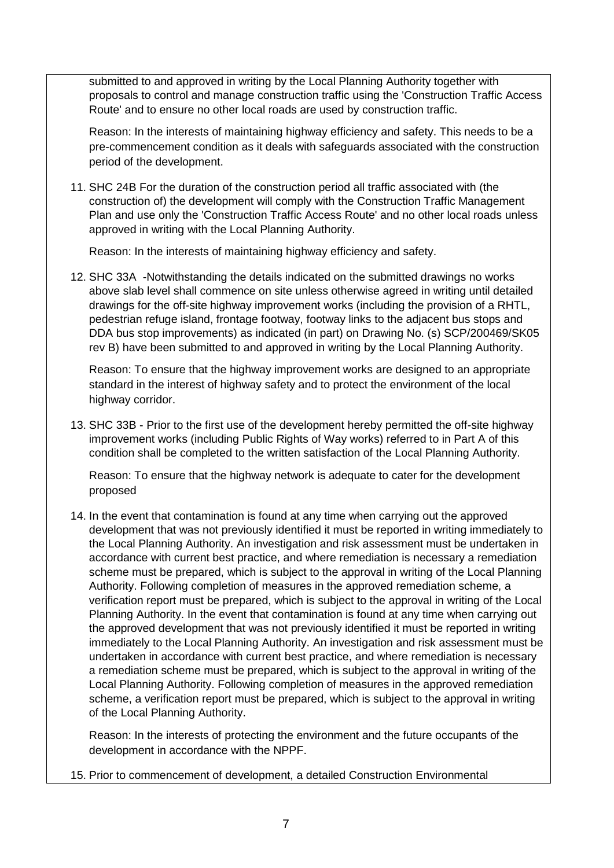submitted to and approved in writing by the Local Planning Authority together with proposals to control and manage construction traffic using the 'Construction Traffic Access Route' and to ensure no other local roads are used by construction traffic.

Reason: In the interests of maintaining highway efficiency and safety. This needs to be a pre-commencement condition as it deals with safeguards associated with the construction period of the development.

11. SHC 24B For the duration of the construction period all traffic associated with (the construction of) the development will comply with the Construction Traffic Management Plan and use only the 'Construction Traffic Access Route' and no other local roads unless approved in writing with the Local Planning Authority.

Reason: In the interests of maintaining highway efficiency and safety.

12. SHC 33A -Notwithstanding the details indicated on the submitted drawings no works above slab level shall commence on site unless otherwise agreed in writing until detailed drawings for the off-site highway improvement works (including the provision of a RHTL, pedestrian refuge island, frontage footway, footway links to the adjacent bus stops and DDA bus stop improvements) as indicated (in part) on Drawing No. (s) SCP/200469/SK05 rev B) have been submitted to and approved in writing by the Local Planning Authority.

Reason: To ensure that the highway improvement works are designed to an appropriate standard in the interest of highway safety and to protect the environment of the local highway corridor.

13. SHC 33B - Prior to the first use of the development hereby permitted the off-site highway improvement works (including Public Rights of Way works) referred to in Part A of this condition shall be completed to the written satisfaction of the Local Planning Authority.

Reason: To ensure that the highway network is adequate to cater for the development proposed

14. In the event that contamination is found at any time when carrying out the approved development that was not previously identified it must be reported in writing immediately to the Local Planning Authority. An investigation and risk assessment must be undertaken in accordance with current best practice, and where remediation is necessary a remediation scheme must be prepared, which is subject to the approval in writing of the Local Planning Authority. Following completion of measures in the approved remediation scheme, a verification report must be prepared, which is subject to the approval in writing of the Local Planning Authority. In the event that contamination is found at any time when carrying out the approved development that was not previously identified it must be reported in writing immediately to the Local Planning Authority. An investigation and risk assessment must be undertaken in accordance with current best practice, and where remediation is necessary a remediation scheme must be prepared, which is subject to the approval in writing of the Local Planning Authority. Following completion of measures in the approved remediation scheme, a verification report must be prepared, which is subject to the approval in writing of the Local Planning Authority.

Reason: In the interests of protecting the environment and the future occupants of the development in accordance with the NPPF.

15. Prior to commencement of development, a detailed Construction Environmental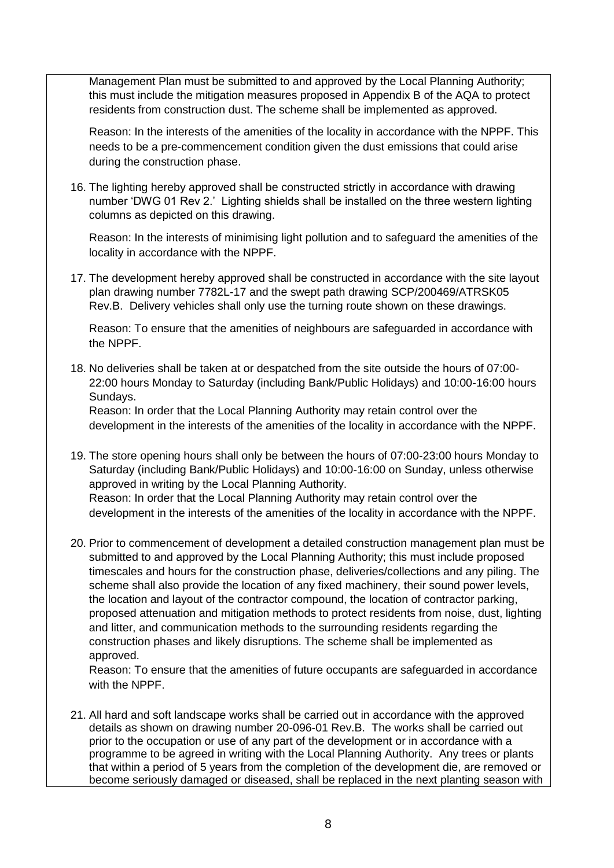Management Plan must be submitted to and approved by the Local Planning Authority; this must include the mitigation measures proposed in Appendix B of the AQA to protect residents from construction dust. The scheme shall be implemented as approved.

Reason: In the interests of the amenities of the locality in accordance with the NPPF. This needs to be a pre-commencement condition given the dust emissions that could arise during the construction phase.

16. The lighting hereby approved shall be constructed strictly in accordance with drawing number 'DWG 01 Rev 2.' Lighting shields shall be installed on the three western lighting columns as depicted on this drawing.

Reason: In the interests of minimising light pollution and to safeguard the amenities of the locality in accordance with the NPPF.

17. The development hereby approved shall be constructed in accordance with the site layout plan drawing number 7782L-17 and the swept path drawing SCP/200469/ATRSK05 Rev.B. Delivery vehicles shall only use the turning route shown on these drawings.

Reason: To ensure that the amenities of neighbours are safeguarded in accordance with the NPPF.

18. No deliveries shall be taken at or despatched from the site outside the hours of 07:00- 22:00 hours Monday to Saturday (including Bank/Public Holidays) and 10:00-16:00 hours Sundays.

Reason: In order that the Local Planning Authority may retain control over the development in the interests of the amenities of the locality in accordance with the NPPF.

- 19. The store opening hours shall only be between the hours of 07:00-23:00 hours Monday to Saturday (including Bank/Public Holidays) and 10:00-16:00 on Sunday, unless otherwise approved in writing by the Local Planning Authority. Reason: In order that the Local Planning Authority may retain control over the development in the interests of the amenities of the locality in accordance with the NPPF.
- 20. Prior to commencement of development a detailed construction management plan must be submitted to and approved by the Local Planning Authority; this must include proposed timescales and hours for the construction phase, deliveries/collections and any piling. The scheme shall also provide the location of any fixed machinery, their sound power levels, the location and layout of the contractor compound, the location of contractor parking, proposed attenuation and mitigation methods to protect residents from noise, dust, lighting and litter, and communication methods to the surrounding residents regarding the construction phases and likely disruptions. The scheme shall be implemented as approved.

Reason: To ensure that the amenities of future occupants are safeguarded in accordance with the NPPF.

21. All hard and soft landscape works shall be carried out in accordance with the approved details as shown on drawing number 20-096-01 Rev.B. The works shall be carried out prior to the occupation or use of any part of the development or in accordance with a programme to be agreed in writing with the Local Planning Authority. Any trees or plants that within a period of 5 years from the completion of the development die, are removed or become seriously damaged or diseased, shall be replaced in the next planting season with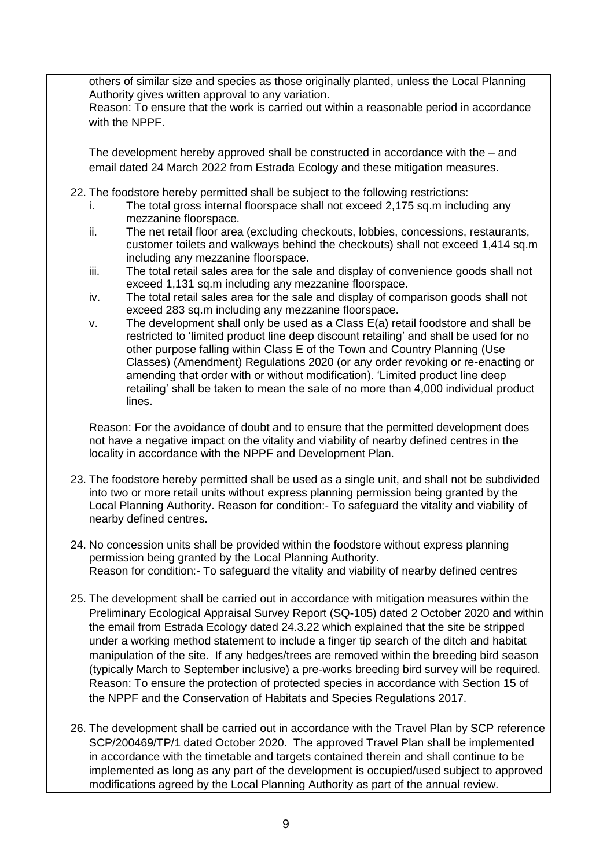others of similar size and species as those originally planted, unless the Local Planning Authority gives written approval to any variation.

Reason: To ensure that the work is carried out within a reasonable period in accordance with the NPPF

The development hereby approved shall be constructed in accordance with the – and email dated 24 March 2022 from Estrada Ecology and these mitigation measures.

- 22. The foodstore hereby permitted shall be subject to the following restrictions:
	- i. The total gross internal floorspace shall not exceed 2,175 sq.m including any mezzanine floorspace.
	- ii. The net retail floor area (excluding checkouts, lobbies, concessions, restaurants, customer toilets and walkways behind the checkouts) shall not exceed 1,414 sq.m including any mezzanine floorspace.
	- iii. The total retail sales area for the sale and display of convenience goods shall not exceed 1,131 sq.m including any mezzanine floorspace.
	- iv. The total retail sales area for the sale and display of comparison goods shall not exceed 283 sq.m including any mezzanine floorspace.
	- v. The development shall only be used as a Class E(a) retail foodstore and shall be restricted to 'limited product line deep discount retailing' and shall be used for no other purpose falling within Class E of the Town and Country Planning (Use Classes) (Amendment) Regulations 2020 (or any order revoking or re-enacting or amending that order with or without modification). 'Limited product line deep retailing' shall be taken to mean the sale of no more than 4,000 individual product lines.

Reason: For the avoidance of doubt and to ensure that the permitted development does not have a negative impact on the vitality and viability of nearby defined centres in the locality in accordance with the NPPF and Development Plan.

- 23. The foodstore hereby permitted shall be used as a single unit, and shall not be subdivided into two or more retail units without express planning permission being granted by the Local Planning Authority. Reason for condition:- To safeguard the vitality and viability of nearby defined centres.
- 24. No concession units shall be provided within the foodstore without express planning permission being granted by the Local Planning Authority. Reason for condition:- To safeguard the vitality and viability of nearby defined centres
- 25. The development shall be carried out in accordance with mitigation measures within the Preliminary Ecological Appraisal Survey Report (SQ-105) dated 2 October 2020 and within the email from Estrada Ecology dated 24.3.22 which explained that the site be stripped under a working method statement to include a finger tip search of the ditch and habitat manipulation of the site. If any hedges/trees are removed within the breeding bird season (typically March to September inclusive) a pre-works breeding bird survey will be required. Reason: To ensure the protection of protected species in accordance with Section 15 of the NPPF and the Conservation of Habitats and Species Regulations 2017.
- 26. The development shall be carried out in accordance with the Travel Plan by SCP reference SCP/200469/TP/1 dated October 2020. The approved Travel Plan shall be implemented in accordance with the timetable and targets contained therein and shall continue to be implemented as long as any part of the development is occupied/used subject to approved modifications agreed by the Local Planning Authority as part of the annual review.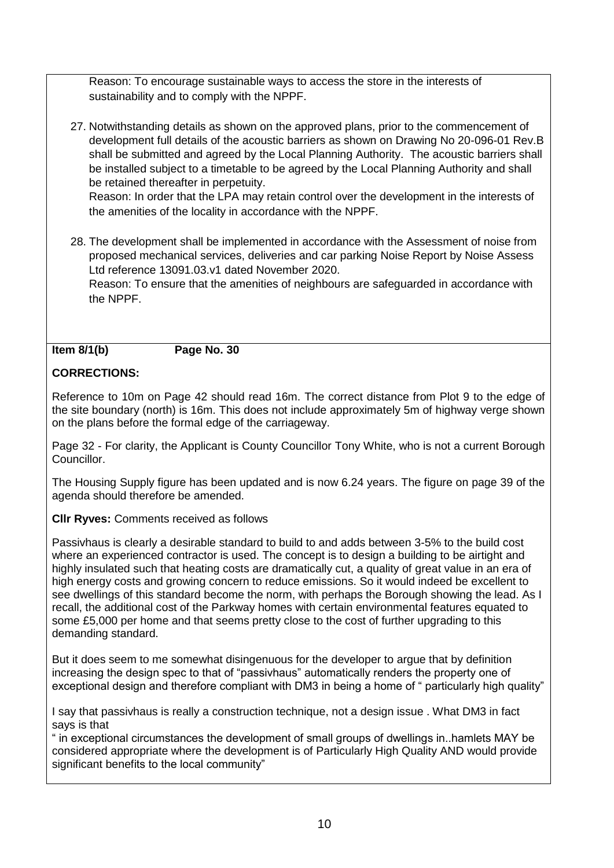Reason: To encourage sustainable ways to access the store in the interests of sustainability and to comply with the NPPF.

27. Notwithstanding details as shown on the approved plans, prior to the commencement of development full details of the acoustic barriers as shown on Drawing No 20-096-01 Rev.B shall be submitted and agreed by the Local Planning Authority. The acoustic barriers shall be installed subject to a timetable to be agreed by the Local Planning Authority and shall be retained thereafter in perpetuity.

Reason: In order that the LPA may retain control over the development in the interests of the amenities of the locality in accordance with the NPPF.

28. The development shall be implemented in accordance with the Assessment of noise from proposed mechanical services, deliveries and car parking Noise Report by Noise Assess Ltd reference 13091.03.v1 dated November 2020.

Reason: To ensure that the amenities of neighbours are safeguarded in accordance with the NPPF.

#### **Item 8/1(b) Page No. 30**

# **CORRECTIONS:**

Reference to 10m on Page 42 should read 16m. The correct distance from Plot 9 to the edge of the site boundary (north) is 16m. This does not include approximately 5m of highway verge shown on the plans before the formal edge of the carriageway.

Page 32 - For clarity, the Applicant is County Councillor Tony White, who is not a current Borough Councillor.

The Housing Supply figure has been updated and is now 6.24 years. The figure on page 39 of the agenda should therefore be amended.

**Cllr Ryves:** Comments received as follows

Passivhaus is clearly a desirable standard to build to and adds between 3-5% to the build cost where an experienced contractor is used. The concept is to design a building to be airtight and highly insulated such that heating costs are dramatically cut, a quality of great value in an era of high energy costs and growing concern to reduce emissions. So it would indeed be excellent to see dwellings of this standard become the norm, with perhaps the Borough showing the lead. As I recall, the additional cost of the Parkway homes with certain environmental features equated to some £5,000 per home and that seems pretty close to the cost of further upgrading to this demanding standard.

But it does seem to me somewhat disingenuous for the developer to argue that by definition increasing the design spec to that of "passivhaus" automatically renders the property one of exceptional design and therefore compliant with DM3 in being a home of " particularly high quality"

I say that passivhaus is really a construction technique, not a design issue . What DM3 in fact says is that

" in exceptional circumstances the development of small groups of dwellings in..hamlets MAY be considered appropriate where the development is of Particularly High Quality AND would provide significant benefits to the local community"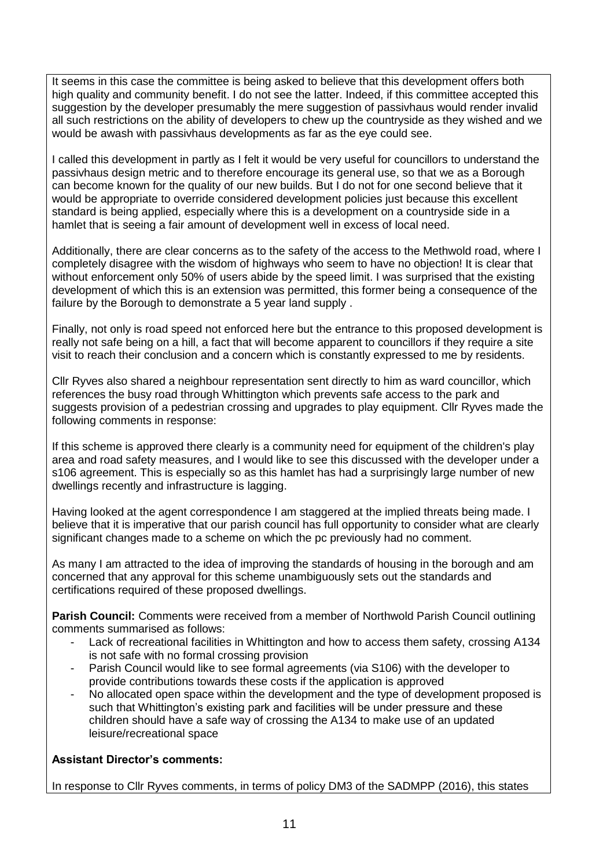It seems in this case the committee is being asked to believe that this development offers both high quality and community benefit. I do not see the latter. Indeed, if this committee accepted this suggestion by the developer presumably the mere suggestion of passivhaus would render invalid all such restrictions on the ability of developers to chew up the countryside as they wished and we would be awash with passivhaus developments as far as the eye could see.

I called this development in partly as I felt it would be very useful for councillors to understand the passivhaus design metric and to therefore encourage its general use, so that we as a Borough can become known for the quality of our new builds. But I do not for one second believe that it would be appropriate to override considered development policies just because this excellent standard is being applied, especially where this is a development on a countryside side in a hamlet that is seeing a fair amount of development well in excess of local need.

Additionally, there are clear concerns as to the safety of the access to the Methwold road, where I completely disagree with the wisdom of highways who seem to have no objection! It is clear that without enforcement only 50% of users abide by the speed limit. I was surprised that the existing development of which this is an extension was permitted, this former being a consequence of the failure by the Borough to demonstrate a 5 year land supply .

Finally, not only is road speed not enforced here but the entrance to this proposed development is really not safe being on a hill, a fact that will become apparent to councillors if they require a site visit to reach their conclusion and a concern which is constantly expressed to me by residents.

Cllr Ryves also shared a neighbour representation sent directly to him as ward councillor, which references the busy road through Whittington which prevents safe access to the park and suggests provision of a pedestrian crossing and upgrades to play equipment. Cllr Ryves made the following comments in response:

If this scheme is approved there clearly is a community need for equipment of the children's play area and road safety measures, and I would like to see this discussed with the developer under a s106 agreement. This is especially so as this hamlet has had a surprisingly large number of new dwellings recently and infrastructure is lagging.

Having looked at the agent correspondence I am staggered at the implied threats being made. I believe that it is imperative that our parish council has full opportunity to consider what are clearly significant changes made to a scheme on which the pc previously had no comment.

As many I am attracted to the idea of improving the standards of housing in the borough and am concerned that any approval for this scheme unambiguously sets out the standards and certifications required of these proposed dwellings.

**Parish Council:** Comments were received from a member of Northwold Parish Council outlining comments summarised as follows:

- Lack of recreational facilities in Whittington and how to access them safety, crossing A134 is not safe with no formal crossing provision
- Parish Council would like to see formal agreements (via S106) with the developer to provide contributions towards these costs if the application is approved
- No allocated open space within the development and the type of development proposed is such that Whittington's existing park and facilities will be under pressure and these children should have a safe way of crossing the A134 to make use of an updated leisure/recreational space

# **Assistant Director's comments:**

In response to Cllr Ryves comments, in terms of policy DM3 of the SADMPP (2016), this states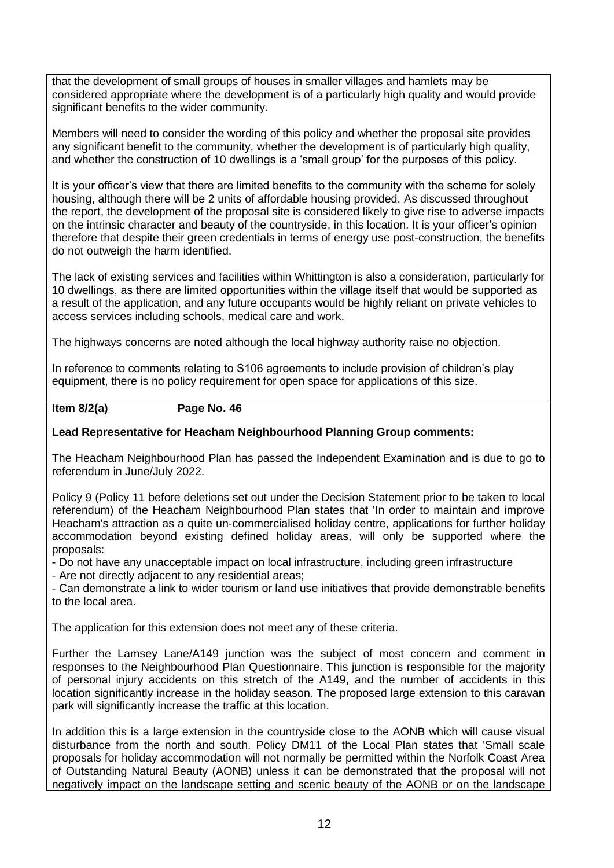that the development of small groups of houses in smaller villages and hamlets may be considered appropriate where the development is of a particularly high quality and would provide significant benefits to the wider community.

Members will need to consider the wording of this policy and whether the proposal site provides any significant benefit to the community, whether the development is of particularly high quality, and whether the construction of 10 dwellings is a 'small group' for the purposes of this policy.

It is your officer's view that there are limited benefits to the community with the scheme for solely housing, although there will be 2 units of affordable housing provided. As discussed throughout the report, the development of the proposal site is considered likely to give rise to adverse impacts on the intrinsic character and beauty of the countryside, in this location. It is your officer's opinion therefore that despite their green credentials in terms of energy use post-construction, the benefits do not outweigh the harm identified.

The lack of existing services and facilities within Whittington is also a consideration, particularly for 10 dwellings, as there are limited opportunities within the village itself that would be supported as a result of the application, and any future occupants would be highly reliant on private vehicles to access services including schools, medical care and work.

The highways concerns are noted although the local highway authority raise no objection.

In reference to comments relating to S106 agreements to include provision of children's play equipment, there is no policy requirement for open space for applications of this size.

#### **Item 8/2(a) Page No. 46**

### **Lead Representative for Heacham Neighbourhood Planning Group comments:**

The Heacham Neighbourhood Plan has passed the Independent Examination and is due to go to referendum in June/July 2022.

Policy 9 (Policy 11 before deletions set out under the Decision Statement prior to be taken to local referendum) of the Heacham Neighbourhood Plan states that 'In order to maintain and improve Heacham's attraction as a quite un-commercialised holiday centre, applications for further holiday accommodation beyond existing defined holiday areas, will only be supported where the proposals:

- Do not have any unacceptable impact on local infrastructure, including green infrastructure

- Are not directly adjacent to any residential areas;

- Can demonstrate a link to wider tourism or land use initiatives that provide demonstrable benefits to the local area.

The application for this extension does not meet any of these criteria.

Further the Lamsey Lane/A149 junction was the subject of most concern and comment in responses to the Neighbourhood Plan Questionnaire. This junction is responsible for the majority of personal injury accidents on this stretch of the A149, and the number of accidents in this location significantly increase in the holiday season. The proposed large extension to this caravan park will significantly increase the traffic at this location.

In addition this is a large extension in the countryside close to the AONB which will cause visual disturbance from the north and south. Policy DM11 of the Local Plan states that 'Small scale proposals for holiday accommodation will not normally be permitted within the Norfolk Coast Area of Outstanding Natural Beauty (AONB) unless it can be demonstrated that the proposal will not negatively impact on the landscape setting and scenic beauty of the AONB or on the landscape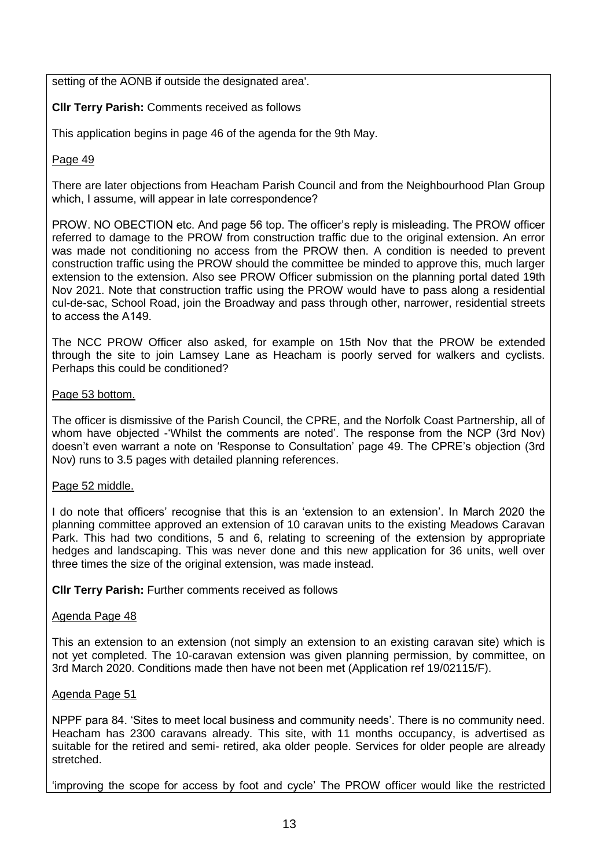setting of the AONB if outside the designated area'.

### **Cllr Terry Parish:** Comments received as follows

This application begins in page 46 of the agenda for the 9th May.

#### Page 49

There are later objections from Heacham Parish Council and from the Neighbourhood Plan Group which, I assume, will appear in late correspondence? 

PROW. NO OBECTION etc. And page 56 top. The officer's reply is misleading. The PROW officer referred to damage to the PROW from construction traffic due to the original extension. An error was made not conditioning no access from the PROW then. A condition is needed to prevent construction traffic using the PROW should the committee be minded to approve this, much larger extension to the extension. Also see PROW Officer submission on the planning portal dated 19th Nov 2021. Note that construction traffic using the PROW would have to pass along a residential cul-de-sac, School Road, join the Broadway and pass through other, narrower, residential streets to access the A149.  

The NCC PROW Officer also asked, for example on 15th Nov that the PROW be extended through the site to join Lamsey Lane as Heacham is poorly served for walkers and cyclists. Perhaps this could be conditioned?

#### Page 53 bottom.

The officer is dismissive of the Parish Council, the CPRE, and the Norfolk Coast Partnership, all of whom have objected -'Whilst the comments are noted'. The response from the NCP (3rd Nov) doesn't even warrant a note on 'Response to Consultation' page 49. The CPRE's objection (3rd Nov) runs to 3.5 pages with detailed planning references.

#### Page 52 middle.

I do note that officers' recognise that this is an 'extension to an extension'. In March 2020 the planning committee approved an extension of 10 caravan units to the existing Meadows Caravan Park. This had two conditions, 5 and 6, relating to screening of the extension by appropriate hedges and landscaping. This was never done and this new application for 36 units, well over three times the size of the original extension, was made instead.

**CIIr Terry Parish: Further comments received as follows** 

#### Agenda Page 48

This an extension to an extension (not simply an extension to an existing caravan site) which is not yet completed. The 10-caravan extension was given planning permission, by committee, on 3rd March 2020. Conditions made then have not been met (Application ref 19/02115/F).

#### Agenda Page 51

NPPF para 84. 'Sites to meet local business and community needs'. There is no community need. Heacham has 2300 caravans already. This site, with 11 months occupancy, is advertised as suitable for the retired and semi- retired, aka older people. Services for older people are already stretched.

'improving the scope for access by foot and cycle' The PROW officer would like the restricted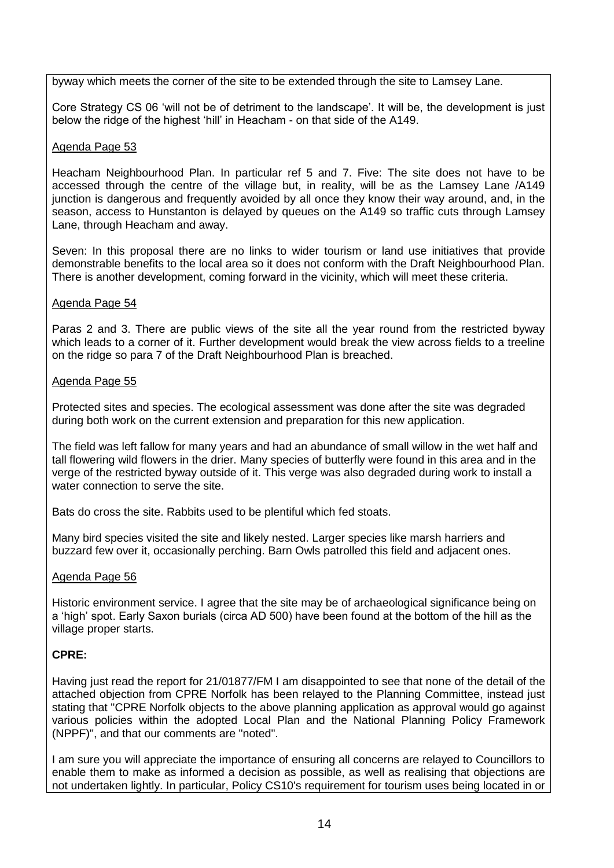byway which meets the corner of the site to be extended through the site to Lamsey Lane.

Core Strategy CS 06 'will not be of detriment to the landscape'. It will be, the development is just below the ridge of the highest 'hill' in Heacham - on that side of the A149.

#### Agenda Page 53

Heacham Neighbourhood Plan. In particular ref 5 and 7. Five: The site does not have to be accessed through the centre of the village but, in reality, will be as the Lamsey Lane /A149 junction is dangerous and frequently avoided by all once they know their way around, and, in the season, access to Hunstanton is delayed by queues on the A149 so traffic cuts through Lamsey Lane, through Heacham and away.

Seven: In this proposal there are no links to wider tourism or land use initiatives that provide demonstrable benefits to the local area so it does not conform with the Draft Neighbourhood Plan. There is another development, coming forward in the vicinity, which will meet these criteria.

#### Agenda Page 54

Paras 2 and 3. There are public views of the site all the year round from the restricted byway which leads to a corner of it. Further development would break the view across fields to a treeline on the ridge so para 7 of the Draft Neighbourhood Plan is breached.

#### Agenda Page 55

Protected sites and species. The ecological assessment was done after the site was degraded during both work on the current extension and preparation for this new application.

The field was left fallow for many years and had an abundance of small willow in the wet half and tall flowering wild flowers in the drier. Many species of butterfly were found in this area and in the verge of the restricted byway outside of it. This verge was also degraded during work to install a water connection to serve the site.

Bats do cross the site. Rabbits used to be plentiful which fed stoats.

Many bird species visited the site and likely nested. Larger species like marsh harriers and buzzard few over it, occasionally perching. Barn Owls patrolled this field and adjacent ones.

#### Agenda Page 56

Historic environment service. I agree that the site may be of archaeological significance being on a 'high' spot. Early Saxon burials (circa AD 500) have been found at the bottom of the hill as the village proper starts.

# **CPRE:**

Having just read the report for 21/01877/FM I am disappointed to see that none of the detail of the attached objection from CPRE Norfolk has been relayed to the Planning Committee, instead just stating that "CPRE Norfolk objects to the above planning application as approval would go against various policies within the adopted Local Plan and the National Planning Policy Framework (NPPF)", and that our comments are "noted".

I am sure you will appreciate the importance of ensuring all concerns are relayed to Councillors to enable them to make as informed a decision as possible, as well as realising that objections are not undertaken lightly. In particular, Policy CS10's requirement for tourism uses being located in or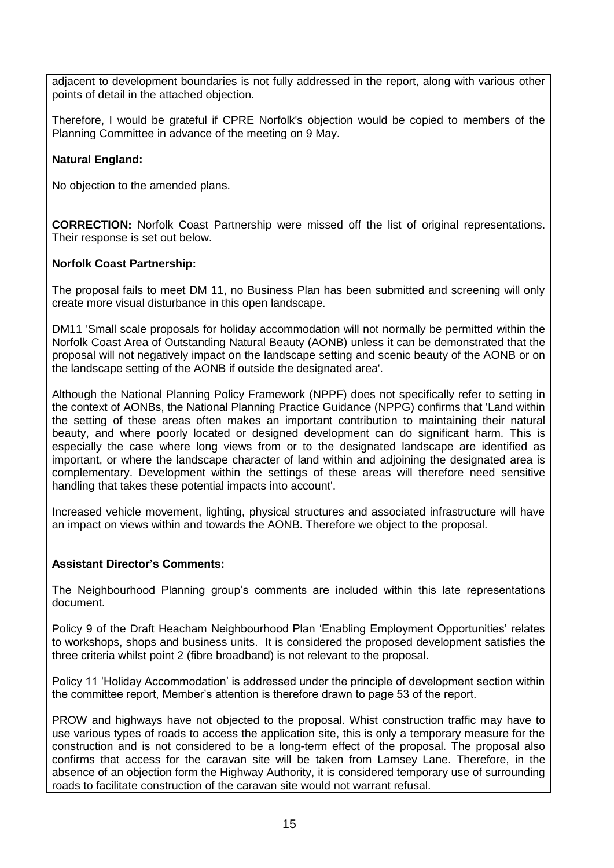adjacent to development boundaries is not fully addressed in the report, along with various other points of detail in the attached objection.

Therefore, I would be grateful if CPRE Norfolk's objection would be copied to members of the Planning Committee in advance of the meeting on 9 May.

### **Natural England:**

No objection to the amended plans.

**CORRECTION:** Norfolk Coast Partnership were missed off the list of original representations. Their response is set out below.

#### **Norfolk Coast Partnership:**

The proposal fails to meet DM 11, no Business Plan has been submitted and screening will only create more visual disturbance in this open landscape.

DM11 'Small scale proposals for holiday accommodation will not normally be permitted within the Norfolk Coast Area of Outstanding Natural Beauty (AONB) unless it can be demonstrated that the proposal will not negatively impact on the landscape setting and scenic beauty of the AONB or on the landscape setting of the AONB if outside the designated area'.

Although the National Planning Policy Framework (NPPF) does not specifically refer to setting in the context of AONBs, the National Planning Practice Guidance (NPPG) confirms that 'Land within the setting of these areas often makes an important contribution to maintaining their natural beauty, and where poorly located or designed development can do significant harm. This is especially the case where long views from or to the designated landscape are identified as important, or where the landscape character of land within and adjoining the designated area is complementary. Development within the settings of these areas will therefore need sensitive handling that takes these potential impacts into account'.

Increased vehicle movement, lighting, physical structures and associated infrastructure will have an impact on views within and towards the AONB. Therefore we object to the proposal.

#### **Assistant Director's Comments:**

The Neighbourhood Planning group's comments are included within this late representations document.

Policy 9 of the Draft Heacham Neighbourhood Plan 'Enabling Employment Opportunities' relates to workshops, shops and business units. It is considered the proposed development satisfies the three criteria whilst point 2 (fibre broadband) is not relevant to the proposal.

Policy 11 'Holiday Accommodation' is addressed under the principle of development section within the committee report, Member's attention is therefore drawn to page 53 of the report.

PROW and highways have not objected to the proposal. Whist construction traffic may have to use various types of roads to access the application site, this is only a temporary measure for the construction and is not considered to be a long-term effect of the proposal. The proposal also confirms that access for the caravan site will be taken from Lamsey Lane. Therefore, in the absence of an objection form the Highway Authority, it is considered temporary use of surrounding roads to facilitate construction of the caravan site would not warrant refusal.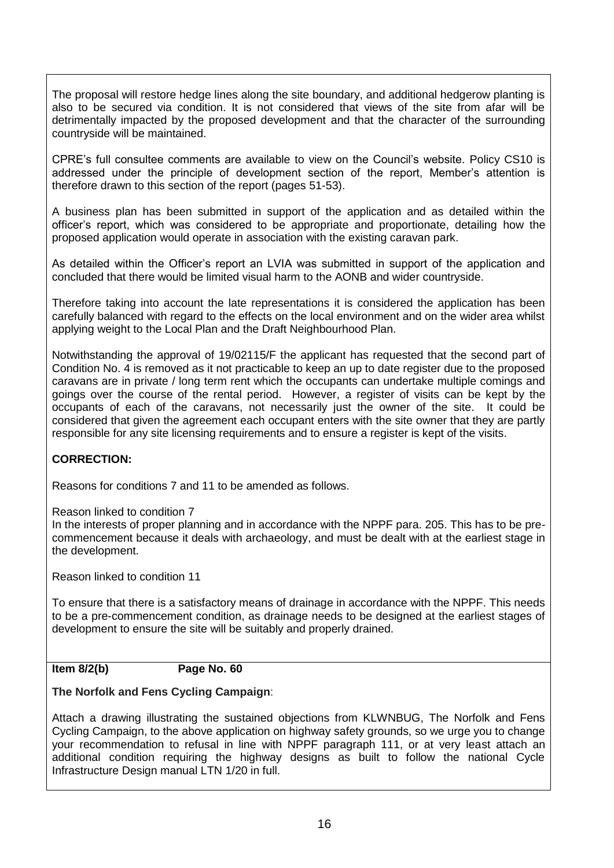The proposal will restore hedge lines along the site boundary, and additional hedgerow planting is also to be secured via condition. It is not considered that views of the site from afar will be detrimentally impacted by the proposed development and that the character of the surrounding countryside will be maintained.

CPRE's full consultee comments are available to view on the Council's website. Policy CS10 is addressed under the principle of development section of the report, Member's attention is therefore drawn to this section of the report (pages 51-53).

A business plan has been submitted in support of the application and as detailed within the officer's report, which was considered to be appropriate and proportionate, detailing how the proposed application would operate in association with the existing caravan park.

As detailed within the Officer's report an LVIA was submitted in support of the application and concluded that there would be limited visual harm to the AONB and wider countryside.

Therefore taking into account the late representations it is considered the application has been carefully balanced with regard to the effects on the local environment and on the wider area whilst applying weight to the Local Plan and the Draft Neighbourhood Plan.

Notwithstanding the approval of 19/02115/F the applicant has requested that the second part of Condition No. 4 is removed as it not practicable to keep an up to date register due to the proposed caravans are in private / long term rent which the occupants can undertake multiple comings and goings over the course of the rental period. However, a register of visits can be kept by the occupants of each of the caravans, not necessarily just the owner of the site. It could be considered that given the agreement each occupant enters with the site owner that they are partly responsible for any site licensing requirements and to ensure a register is kept of the visits.

#### **CORRECTION:**

Reasons for conditions 7 and 11 to be amended as follows.

Reason linked to condition 7

In the interests of proper planning and in accordance with the NPPF para. 205. This has to be precommencement because it deals with archaeology, and must be dealt with at the earliest stage in the development.

Reason linked to condition 11

To ensure that there is a satisfactory means of drainage in accordance with the NPPF. This needs to be a pre-commencement condition, as drainage needs to be designed at the earliest stages of development to ensure the site will be suitably and properly drained.

#### **Item 8/2(b) Page No. 60**

#### **The Norfolk and Fens Cycling Campaign**:

Attach a drawing illustrating the sustained objections from KLWNBUG, The Norfolk and Fens Cycling Campaign, to the above application on highway safety grounds, so we urge you to change your recommendation to refusal in line with NPPF paragraph 111, or at very least attach an additional condition requiring the highway designs as built to follow the national Cycle Infrastructure Design manual LTN 1/20 in full.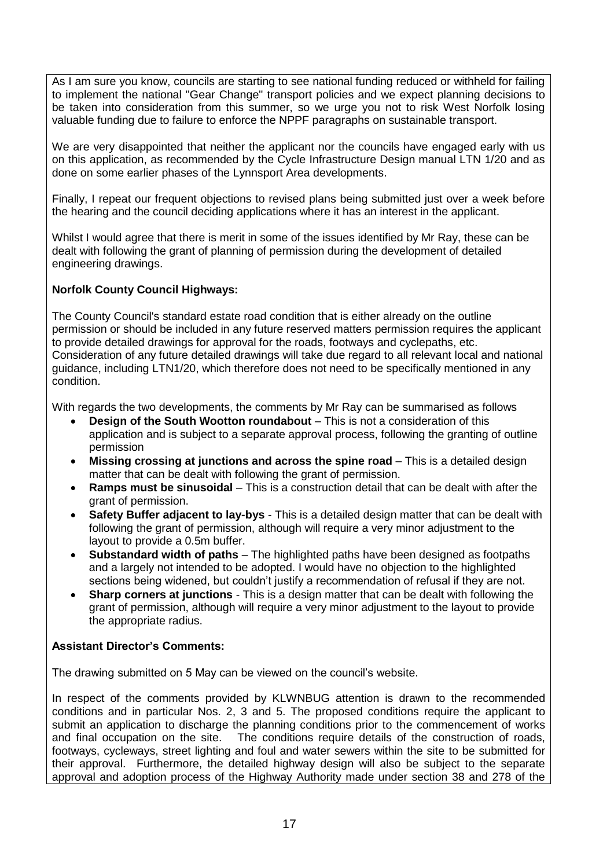As I am sure you know, councils are starting to see national funding reduced or withheld for failing to implement the national "Gear Change" transport policies and we expect planning decisions to be taken into consideration from this summer, so we urge you not to risk West Norfolk losing valuable funding due to failure to enforce the NPPF paragraphs on sustainable transport.

We are very disappointed that neither the applicant nor the councils have engaged early with us on this application, as recommended by the Cycle Infrastructure Design manual LTN 1/20 and as done on some earlier phases of the Lynnsport Area developments.

Finally, I repeat our frequent objections to revised plans being submitted just over a week before the hearing and the council deciding applications where it has an interest in the applicant.

Whilst I would agree that there is merit in some of the issues identified by Mr Ray, these can be dealt with following the grant of planning of permission during the development of detailed engineering drawings.

#### **Norfolk County Council Highways:**

The County Council's standard estate road condition that is either already on the outline permission or should be included in any future reserved matters permission requires the applicant to provide detailed drawings for approval for the roads, footways and cyclepaths, etc. Consideration of any future detailed drawings will take due regard to all relevant local and national guidance, including LTN1/20, which therefore does not need to be specifically mentioned in any condition.

With regards the two developments, the comments by Mr Ray can be summarised as follows

- **Design of the South Wootton roundabout** This is not a consideration of this application and is subject to a separate approval process, following the granting of outline permission
- **Missing crossing at junctions and across the spine road** This is a detailed design matter that can be dealt with following the grant of permission.
- **Ramps must be sinusoidal** This is a construction detail that can be dealt with after the grant of permission.
- **Safety Buffer adjacent to lay-bys** This is a detailed design matter that can be dealt with following the grant of permission, although will require a very minor adjustment to the layout to provide a 0.5m buffer.
- **Substandard width of paths** The highlighted paths have been designed as footpaths and a largely not intended to be adopted. I would have no objection to the highlighted sections being widened, but couldn't justify a recommendation of refusal if they are not.
- **Sharp corners at junctions** This is a design matter that can be dealt with following the grant of permission, although will require a very minor adjustment to the layout to provide the appropriate radius.

#### **Assistant Director's Comments:**

The drawing submitted on 5 May can be viewed on the council's website.

In respect of the comments provided by KLWNBUG attention is drawn to the recommended conditions and in particular Nos. 2, 3 and 5. The proposed conditions require the applicant to submit an application to discharge the planning conditions prior to the commencement of works and final occupation on the site. The conditions require details of the construction of roads, footways, cycleways, street lighting and foul and water sewers within the site to be submitted for their approval. Furthermore, the detailed highway design will also be subject to the separate approval and adoption process of the Highway Authority made under section 38 and 278 of the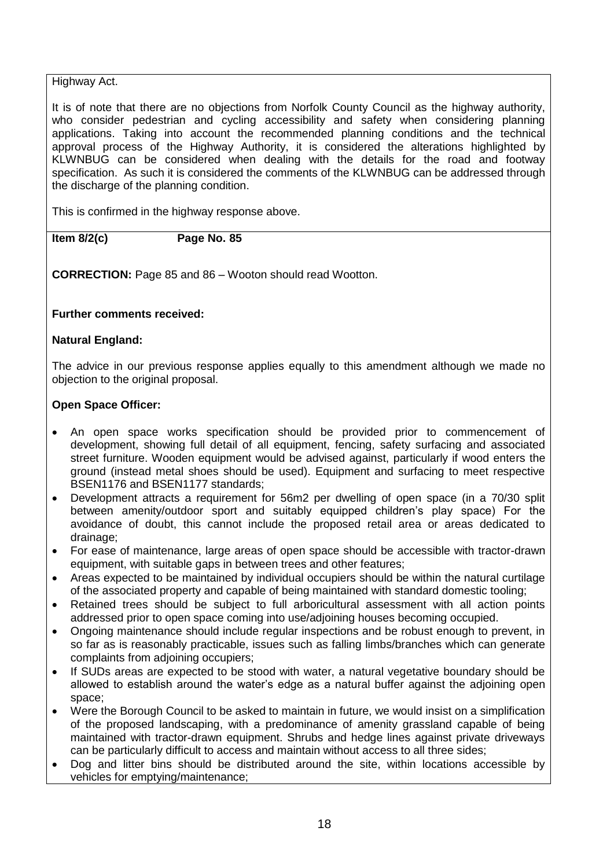### Highway Act.

It is of note that there are no objections from Norfolk County Council as the highway authority, who consider pedestrian and cycling accessibility and safety when considering planning applications. Taking into account the recommended planning conditions and the technical approval process of the Highway Authority, it is considered the alterations highlighted by KLWNBUG can be considered when dealing with the details for the road and footway specification. As such it is considered the comments of the KLWNBUG can be addressed through the discharge of the planning condition.

This is confirmed in the highway response above.

**Item 8/2(c) Page No. 85**

**CORRECTION:** Page 85 and 86 – Wooton should read Wootton.

# **Further comments received:**

#### **Natural England:**

The advice in our previous response applies equally to this amendment although we made no objection to the original proposal.

#### **Open Space Officer:**

- An open space works specification should be provided prior to commencement of development, showing full detail of all equipment, fencing, safety surfacing and associated street furniture. Wooden equipment would be advised against, particularly if wood enters the ground (instead metal shoes should be used). Equipment and surfacing to meet respective BSEN1176 and BSEN1177 standards;
- Development attracts a requirement for 56m2 per dwelling of open space (in a 70/30 split between amenity/outdoor sport and suitably equipped children's play space) For the avoidance of doubt, this cannot include the proposed retail area or areas dedicated to drainage;
- For ease of maintenance, large areas of open space should be accessible with tractor-drawn equipment, with suitable gaps in between trees and other features;
- Areas expected to be maintained by individual occupiers should be within the natural curtilage of the associated property and capable of being maintained with standard domestic tooling;
- Retained trees should be subject to full arboricultural assessment with all action points addressed prior to open space coming into use/adjoining houses becoming occupied.
- Ongoing maintenance should include regular inspections and be robust enough to prevent, in so far as is reasonably practicable, issues such as falling limbs/branches which can generate complaints from adjoining occupiers;
- If SUDs areas are expected to be stood with water, a natural vegetative boundary should be allowed to establish around the water's edge as a natural buffer against the adjoining open space;
- Were the Borough Council to be asked to maintain in future, we would insist on a simplification of the proposed landscaping, with a predominance of amenity grassland capable of being maintained with tractor-drawn equipment. Shrubs and hedge lines against private driveways can be particularly difficult to access and maintain without access to all three sides;
- Dog and litter bins should be distributed around the site, within locations accessible by vehicles for emptying/maintenance;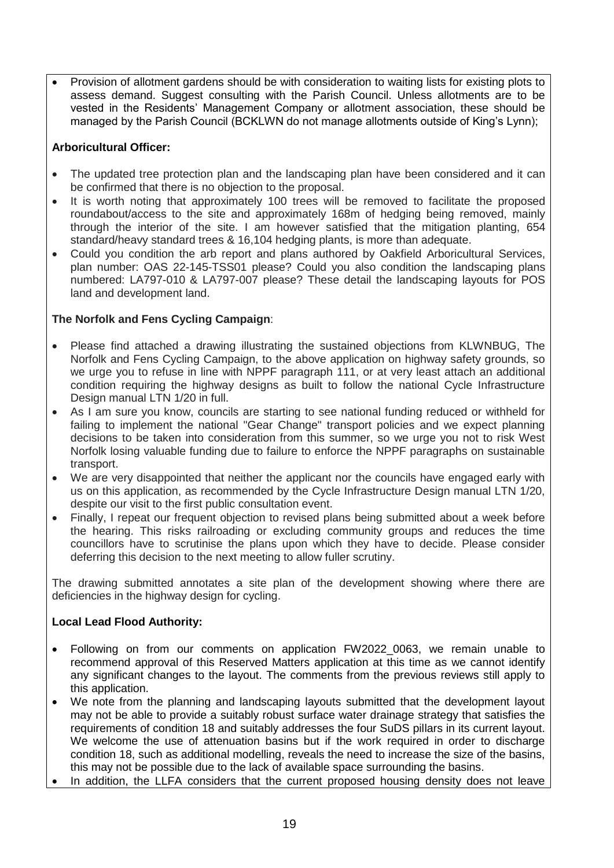Provision of allotment gardens should be with consideration to waiting lists for existing plots to assess demand. Suggest consulting with the Parish Council. Unless allotments are to be vested in the Residents' Management Company or allotment association, these should be managed by the Parish Council (BCKLWN do not manage allotments outside of King's Lynn);

# **Arboricultural Officer:**

- The updated tree protection plan and the landscaping plan have been considered and it can be confirmed that there is no objection to the proposal.
- It is worth noting that approximately 100 trees will be removed to facilitate the proposed roundabout/access to the site and approximately 168m of hedging being removed, mainly through the interior of the site. I am however satisfied that the mitigation planting, 654 standard/heavy standard trees & 16,104 hedging plants, is more than adequate.
- Could you condition the arb report and plans authored by Oakfield Arboricultural Services, plan number: OAS 22-145-TSS01 please? Could you also condition the landscaping plans numbered: LA797-010 & LA797-007 please? These detail the landscaping layouts for POS land and development land.

# **The Norfolk and Fens Cycling Campaign**:

- Please find attached a drawing illustrating the sustained objections from KLWNBUG, The Norfolk and Fens Cycling Campaign, to the above application on highway safety grounds, so we urge you to refuse in line with NPPF paragraph 111, or at very least attach an additional condition requiring the highway designs as built to follow the national Cycle Infrastructure Design manual LTN 1/20 in full.
- As I am sure you know, councils are starting to see national funding reduced or withheld for failing to implement the national "Gear Change" transport policies and we expect planning decisions to be taken into consideration from this summer, so we urge you not to risk West Norfolk losing valuable funding due to failure to enforce the NPPF paragraphs on sustainable transport.
- We are very disappointed that neither the applicant nor the councils have engaged early with us on this application, as recommended by the Cycle Infrastructure Design manual LTN 1/20, despite our visit to the first public consultation event.
- Finally, I repeat our frequent objection to revised plans being submitted about a week before the hearing. This risks railroading or excluding community groups and reduces the time councillors have to scrutinise the plans upon which they have to decide. Please consider deferring this decision to the next meeting to allow fuller scrutiny.

The drawing submitted annotates a site plan of the development showing where there are deficiencies in the highway design for cycling.

# **Local Lead Flood Authority:**

- Following on from our comments on application FW2022 0063, we remain unable to recommend approval of this Reserved Matters application at this time as we cannot identify any significant changes to the layout. The comments from the previous reviews still apply to this application.
- We note from the planning and landscaping layouts submitted that the development layout may not be able to provide a suitably robust surface water drainage strategy that satisfies the requirements of condition 18 and suitably addresses the four SuDS pillars in its current layout. We welcome the use of attenuation basins but if the work required in order to discharge condition 18, such as additional modelling, reveals the need to increase the size of the basins, this may not be possible due to the lack of available space surrounding the basins.
- In addition, the LLFA considers that the current proposed housing density does not leave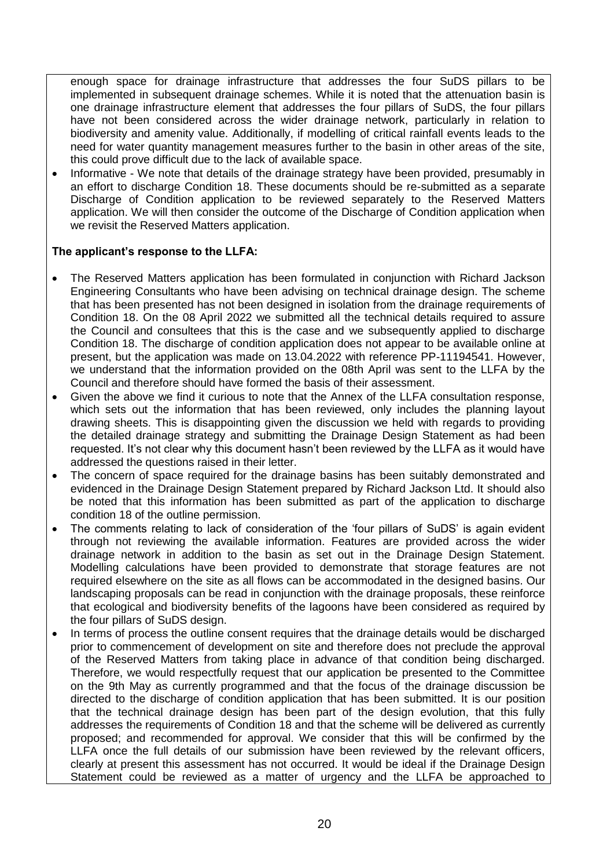enough space for drainage infrastructure that addresses the four SuDS pillars to be implemented in subsequent drainage schemes. While it is noted that the attenuation basin is one drainage infrastructure element that addresses the four pillars of SuDS, the four pillars have not been considered across the wider drainage network, particularly in relation to biodiversity and amenity value. Additionally, if modelling of critical rainfall events leads to the need for water quantity management measures further to the basin in other areas of the site, this could prove difficult due to the lack of available space.

 Informative - We note that details of the drainage strategy have been provided, presumably in an effort to discharge Condition 18. These documents should be re-submitted as a separate Discharge of Condition application to be reviewed separately to the Reserved Matters application. We will then consider the outcome of the Discharge of Condition application when we revisit the Reserved Matters application.

#### **The applicant's response to the LLFA:**

- The Reserved Matters application has been formulated in conjunction with Richard Jackson Engineering Consultants who have been advising on technical drainage design. The scheme that has been presented has not been designed in isolation from the drainage requirements of Condition 18. On the 08 April 2022 we submitted all the technical details required to assure the Council and consultees that this is the case and we subsequently applied to discharge Condition 18. The discharge of condition application does not appear to be available online at present, but the application was made on 13.04.2022 with reference PP-11194541. However, we understand that the information provided on the 08th April was sent to the LLFA by the Council and therefore should have formed the basis of their assessment.
- Given the above we find it curious to note that the Annex of the LLFA consultation response, which sets out the information that has been reviewed, only includes the planning layout drawing sheets. This is disappointing given the discussion we held with regards to providing the detailed drainage strategy and submitting the Drainage Design Statement as had been requested. It's not clear why this document hasn't been reviewed by the LLFA as it would have addressed the questions raised in their letter.
- The concern of space required for the drainage basins has been suitably demonstrated and evidenced in the Drainage Design Statement prepared by Richard Jackson Ltd. It should also be noted that this information has been submitted as part of the application to discharge condition 18 of the outline permission.
- The comments relating to lack of consideration of the 'four pillars of SuDS' is again evident through not reviewing the available information. Features are provided across the wider drainage network in addition to the basin as set out in the Drainage Design Statement. Modelling calculations have been provided to demonstrate that storage features are not required elsewhere on the site as all flows can be accommodated in the designed basins. Our landscaping proposals can be read in conjunction with the drainage proposals, these reinforce that ecological and biodiversity benefits of the lagoons have been considered as required by the four pillars of SuDS design.
- In terms of process the outline consent requires that the drainage details would be discharged prior to commencement of development on site and therefore does not preclude the approval of the Reserved Matters from taking place in advance of that condition being discharged. Therefore, we would respectfully request that our application be presented to the Committee on the 9th May as currently programmed and that the focus of the drainage discussion be directed to the discharge of condition application that has been submitted. It is our position that the technical drainage design has been part of the design evolution, that this fully addresses the requirements of Condition 18 and that the scheme will be delivered as currently proposed; and recommended for approval. We consider that this will be confirmed by the LLFA once the full details of our submission have been reviewed by the relevant officers, clearly at present this assessment has not occurred. It would be ideal if the Drainage Design Statement could be reviewed as a matter of urgency and the LLFA be approached to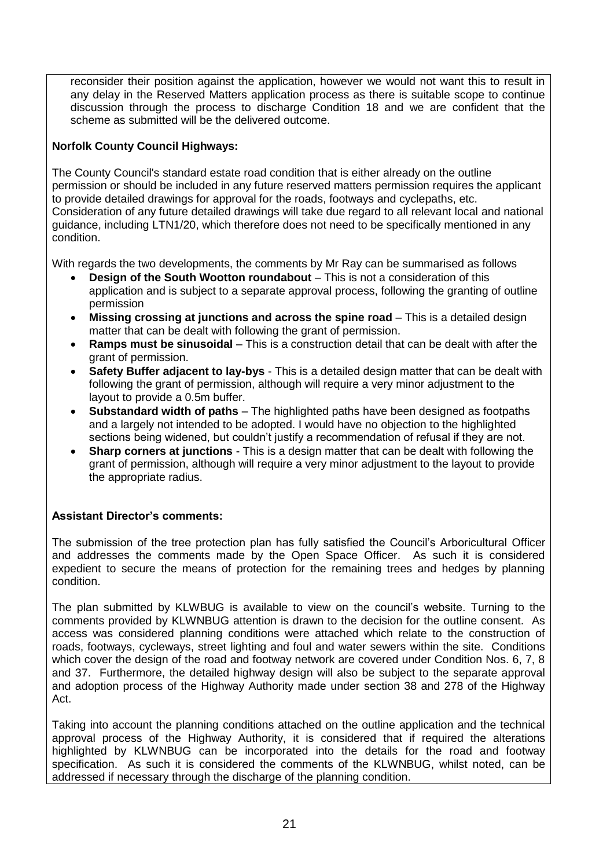reconsider their position against the application, however we would not want this to result in any delay in the Reserved Matters application process as there is suitable scope to continue discussion through the process to discharge Condition 18 and we are confident that the scheme as submitted will be the delivered outcome.

# **Norfolk County Council Highways:**

The County Council's standard estate road condition that is either already on the outline permission or should be included in any future reserved matters permission requires the applicant to provide detailed drawings for approval for the roads, footways and cyclepaths, etc. Consideration of any future detailed drawings will take due regard to all relevant local and national guidance, including LTN1/20, which therefore does not need to be specifically mentioned in any condition.

With regards the two developments, the comments by Mr Ray can be summarised as follows

- **Design of the South Wootton roundabout** This is not a consideration of this application and is subject to a separate approval process, following the granting of outline permission
- **Missing crossing at junctions and across the spine road** This is a detailed design matter that can be dealt with following the grant of permission.
- **Ramps must be sinusoidal** This is a construction detail that can be dealt with after the grant of permission.
- **Safety Buffer adjacent to lay-bys** This is a detailed design matter that can be dealt with following the grant of permission, although will require a very minor adjustment to the layout to provide a 0.5m buffer.
- **Substandard width of paths** The highlighted paths have been designed as footpaths and a largely not intended to be adopted. I would have no objection to the highlighted sections being widened, but couldn't justify a recommendation of refusal if they are not.
- **Sharp corners at junctions** This is a design matter that can be dealt with following the grant of permission, although will require a very minor adjustment to the layout to provide the appropriate radius.

# **Assistant Director's comments:**

The submission of the tree protection plan has fully satisfied the Council's Arboricultural Officer and addresses the comments made by the Open Space Officer. As such it is considered expedient to secure the means of protection for the remaining trees and hedges by planning condition.

The plan submitted by KLWBUG is available to view on the council's website. Turning to the comments provided by KLWNBUG attention is drawn to the decision for the outline consent. As access was considered planning conditions were attached which relate to the construction of roads, footways, cycleways, street lighting and foul and water sewers within the site. Conditions which cover the design of the road and footway network are covered under Condition Nos. 6, 7, 8 and 37. Furthermore, the detailed highway design will also be subject to the separate approval and adoption process of the Highway Authority made under section 38 and 278 of the Highway Act.

Taking into account the planning conditions attached on the outline application and the technical approval process of the Highway Authority, it is considered that if required the alterations highlighted by KLWNBUG can be incorporated into the details for the road and footway specification. As such it is considered the comments of the KLWNBUG, whilst noted, can be addressed if necessary through the discharge of the planning condition.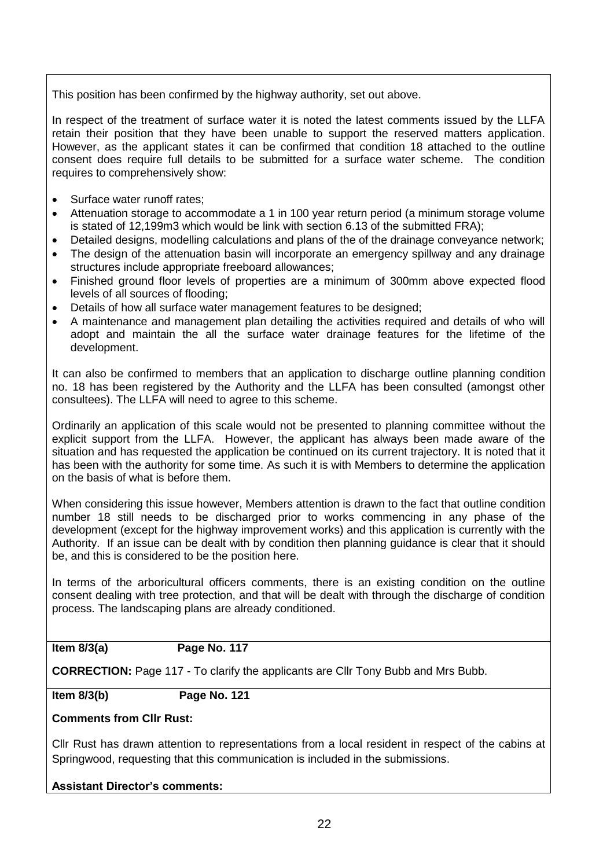This position has been confirmed by the highway authority, set out above.

In respect of the treatment of surface water it is noted the latest comments issued by the LLFA retain their position that they have been unable to support the reserved matters application. However, as the applicant states it can be confirmed that condition 18 attached to the outline consent does require full details to be submitted for a surface water scheme. The condition requires to comprehensively show:

- Surface water runoff rates;
- Attenuation storage to accommodate a 1 in 100 year return period (a minimum storage volume is stated of 12,199m3 which would be link with section 6.13 of the submitted FRA);
- Detailed designs, modelling calculations and plans of the of the drainage conveyance network;
- The design of the attenuation basin will incorporate an emergency spillway and any drainage structures include appropriate freeboard allowances;
- Finished ground floor levels of properties are a minimum of 300mm above expected flood levels of all sources of flooding;
- Details of how all surface water management features to be designed;
- A maintenance and management plan detailing the activities required and details of who will adopt and maintain the all the surface water drainage features for the lifetime of the development.

It can also be confirmed to members that an application to discharge outline planning condition no. 18 has been registered by the Authority and the LLFA has been consulted (amongst other consultees). The LLFA will need to agree to this scheme.

Ordinarily an application of this scale would not be presented to planning committee without the explicit support from the LLFA. However, the applicant has always been made aware of the situation and has requested the application be continued on its current trajectory. It is noted that it has been with the authority for some time. As such it is with Members to determine the application on the basis of what is before them.

When considering this issue however, Members attention is drawn to the fact that outline condition number 18 still needs to be discharged prior to works commencing in any phase of the development (except for the highway improvement works) and this application is currently with the Authority. If an issue can be dealt with by condition then planning guidance is clear that it should be, and this is considered to be the position here.

In terms of the arboricultural officers comments, there is an existing condition on the outline consent dealing with tree protection, and that will be dealt with through the discharge of condition process. The landscaping plans are already conditioned.

#### **Item 8/3(a) Page No. 117**

**CORRECTION:** Page 117 - To clarify the applicants are Cllr Tony Bubb and Mrs Bubb.

**Item 8/3(b) Page No. 121**

### **Comments from Cllr Rust:**

Cllr Rust has drawn attention to representations from a local resident in respect of the cabins at Springwood, requesting that this communication is included in the submissions.

**Assistant Director's comments:**